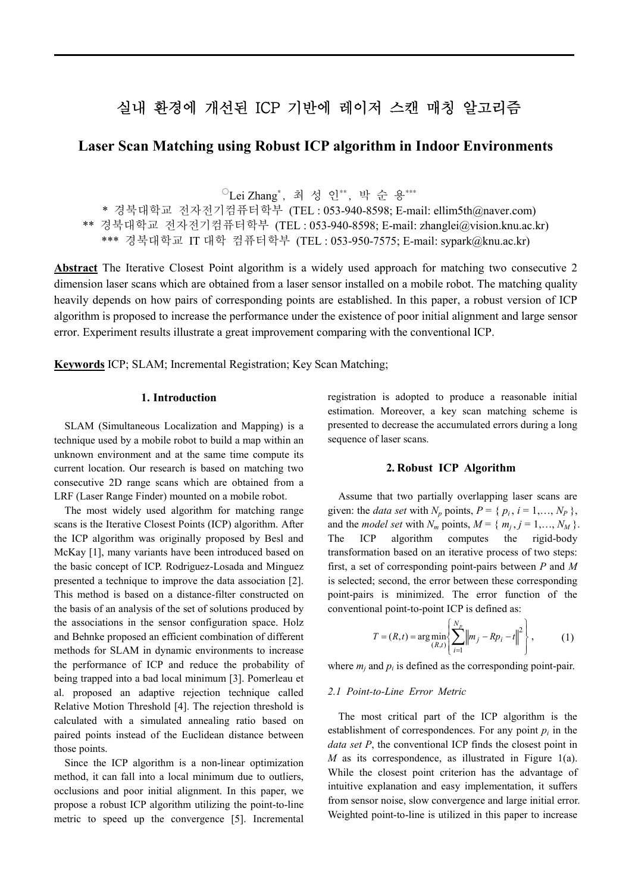# 실내 환경에 개선된 ICP 기반에 레이저 스캔 매칭 알고리즘

# **Laser Scan Matching using Robust ICP algorithm in Indoor Environments**

 $\mathrm{O}_{}$ Lei Zhang<sup>\*</sup>, 최 성 인\*\*, 박 순 용\*\*\*

\* 경북대학교 전자전기컴퓨터학부 (TEL : 053-940-8598; E-mail: ellim5th@naver.com) \*\* 경북대학교 전자전기컴퓨터학부 (TEL : 053-940-8598; E-mail: zhanglei@vision.knu.ac.kr) \*\*\* 경북대학교 IT 대학 컴퓨터학부 (TEL : 053-950-7575; E-mail: sypark@knu.ac.kr)

**Abstract** The Iterative Closest Point algorithm is a widely used approach for matching two consecutive 2 dimension laser scans which are obtained from a laser sensor installed on a mobile robot. The matching quality heavily depends on how pairs of corresponding points are established. In this paper, a robust version of ICP algorithm is proposed to increase the performance under the existence of poor initial alignment and large sensor error. Experiment results illustrate a great improvement comparing with the conventional ICP.

**Keywords** ICP; SLAM; Incremental Registration; Key Scan Matching;

# **1. Introduction**

SLAM (Simultaneous Localization and Mapping) is a technique used by a mobile robot to build a map within an unknown environment and at the same time compute its current location. Our research is based on matching two consecutive 2D range scans which are obtained from a LRF (Laser Range Finder) mounted on a mobile robot.

The most widely used algorithm for matching range scans is the Iterative Closest Points (ICP) algorithm. After the ICP algorithm was originally proposed by Besl and McKay [1], many variants have been introduced based on the basic concept of ICP. Rodriguez-Losada and Minguez presented a technique to improve the data association [2]. This method is based on a distance-filter constructed on the basis of an analysis of the set of solutions produced by the associations in the sensor configuration space. Holz and Behnke proposed an efficient combination of different methods for SLAM in dynamic environments to increase the performance of ICP and reduce the probability of being trapped into a bad local minimum [3]. Pomerleau et al. proposed an adaptive rejection technique called Relative Motion Threshold [4]. The rejection threshold is calculated with a simulated annealing ratio based on paired points instead of the Euclidean distance between those points.

Since the ICP algorithm is a non-linear optimization method, it can fall into a local minimum due to outliers, occlusions and poor initial alignment. In this paper, we propose a robust ICP algorithm utilizing the point-to-line metric to speed up the convergence [5]. Incremental registration is adopted to produce a reasonable initial estimation. Moreover, a key scan matching scheme is presented to decrease the accumulated errors during a long sequence of laser scans.

#### **2. Robust ICP Algorithm**

Assume that two partially overlapping laser scans are given: the *data set* with  $N_p$  points,  $P = \{p_i, i = 1, \ldots, N_p\}$ , and the *model* set with  $N_m$  points,  $M = \{m_j, j = 1, ..., N_M\}$ .<br>The ICP algorithm computes the rigid-body transformation based on an iterative process of two steps: first, a set of corresponding point-pairs between *P* and *M* is selected; second, the error between these corresponding point-pairs is minimized. The error function of the conventional point-to-point ICP is defined as:

$$
T = (R, t) = \arg\min_{(R, t)} \left\{ \sum_{i=1}^{N_p} \left\| m_j - R p_i - t \right\|^2 \right\},
$$
 (1)

where  $m_i$  and  $p_i$  is defined as the corresponding point-pair.

#### *2.1 Point-to-Line Error Metric*

The most critical part of the ICP algorithm is the establishment of correspondences. For any point  $p_i$  in the *data set P*, the conventional ICP finds the closest point in *M* as its correspondence, as illustrated in Figure 1(a). While the closest point criterion has the advantage of intuitive explanation and easy implementation, it suffers from sensor noise, slow convergence and large initial error. Weighted point-to-line is utilized in this paper to increase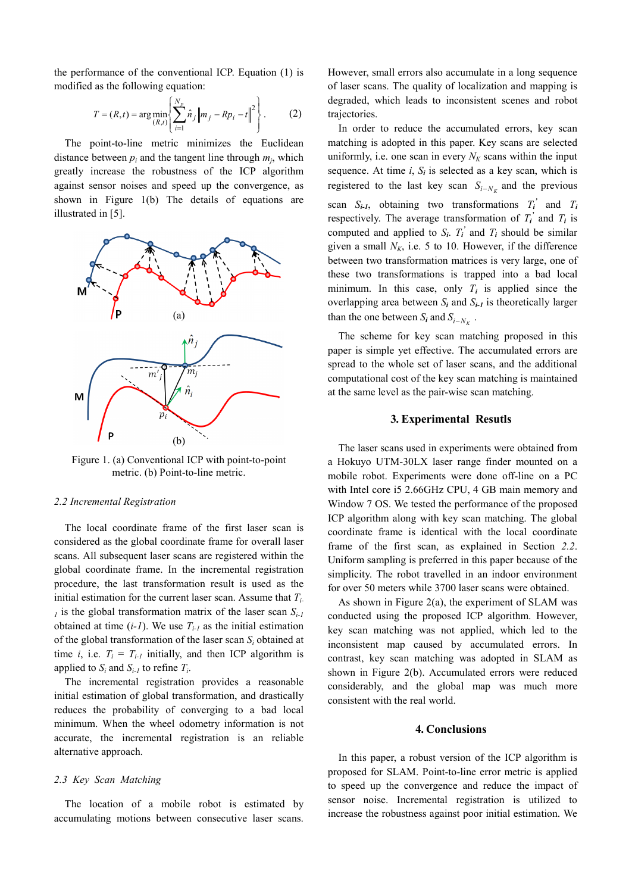the performance of the conventional ICP. Equation (1) is modified as the following equation:

$$
T = (R, t) = \arg \min_{(R, t)} \left\{ \sum_{i=1}^{N_p} \hat{n}_j \left\| m_j - R p_i - t \right\|^2 \right\}.
$$
 (2) degraded, which leads to inconsistent scenes and robot trajectories. In order to reduce the accumulated errors, key scan

The point-to-line metric minimizes the Euclidean distance between  $p_i$  and the tangent line through  $m_i$ , which greatly increase the robustness of the ICP algorithm against sensor noises and speed up the convergence, as shown in Figure 1(b) The details of equations are illustrated in [5].



Figure 1. (a) Conventional ICP with point-to-point metric. (b) Point-to-line metric.

#### *2.2 Incremental Registration*

The local coordinate frame of the first laser scan is considered as the global coordinate frame for overall laser frame of the first scan, as explained in Section 2.2. scans. All subsequent laser scans are registered within the global coordinate frame. In the incremental registration procedure, the last transformation result is used as the initial estimation for the current laser scan. Assume that *Ti- <sup>1</sup>* is the global transformation matrix of the laser scan *Si-1* obtained at time  $(i-1)$ . We use  $T_{i-1}$  as the initial estimation of the global transformation of the laser scan *S<sup>i</sup>* obtained at time *i*, i.e.  $T_i = T_{i-1}$  initially, and then ICP algorithm is applied to  $S_i$  and  $S_{i-1}$  to refine  $T_i$ .

The incremental registration provides a reasonable initial estimation of global transformation, and drastically reduces the probability of converging to a bad local minimum. When the wheel odometry information is not accurate, the incremental registration is an reliable alternative approach.

# *2.3 Key Scan Matching*

The location of a mobile robot is estimated by accumulating motions between consecutive laser scans.

 $\left\{\n \begin{array}{ccc}\n (2) & \text{trajectories.} \\
\end{array}\n\right.$ degraded, which leads to inconsistent scenes and robot However, small errors also accumulate in a long sequence of laser scans. The quality of localization and mapping is

In order to reduce the accumulated errors, key scan matching is adopted in this paper. Key scans are selected uniformly, i.e. one scan in every  $N_K$  scans within the input sequence. At time  $i$ ,  $S_i$  is selected as a key scan, which is registered to the last key scan  $S_{i-N_K}$  and the previous scan  $S_{i-1}$ , obtaining two transformations  $T_i'$  and  $T_i$ respectively. The average transformation of  $T_i'$  and  $T_i$  is computed and applied to  $S_i$ .  $T_i$ <sup>*'*</sup> and  $T_i$  should be similar given a small  $N_K$ , i.e. 5 to 10. However, if the difference between two transformation matrices is very large, one of these two transformations is trapped into a bad local minimum. In this case, only  $T_i$  is applied since the overlapping area between  $S_i$  and  $S_{i-1}$  is theoretically larger than the one between  $S_i$  and  $S_{i-N_K}$ .

> The scheme for key scan matching proposed in this paper is simple yet effective. The accumulated errors are spread to the whole set of laser scans, and the additional computational cost of the key scan matching is maintained at the same level as the pair-wise scan matching.

#### **3. Experimental Resutls**

The laser scans used in experiments were obtained from a Hokuyo UTM-30LX laser range finder mounted on a mobile robot. Experiments were done off-line on a PC with Intel core i5 2.66GHz CPU, 4 GB main memory and Window 7 OS. We tested the performance of the proposed ICP algorithm along with key scan matching. The global coordinate frame is identical with the local coordinate Uniform sampling is preferred in this paper because of the simplicity. The robot travelled in an indoor environment for over 50 meters while 3700 laser scans were obtained.

As shown in Figure 2(a), the experiment of SLAM was conducted using the proposed ICP algorithm. However, key scan matching was not applied, which led to the inconsistent map caused by accumulated errors. In contrast, key scan matching was adopted in SLAM as shown in Figure 2(b). Accumulated errors were reduced considerably, and the global map was much more consistent with the real world.

#### **4. Conclusions**

In this paper, a robust version of the ICP algorithm is proposed for SLAM. Point-to-line error metric is applied to speed up the convergence and reduce the impact of sensor noise. Incremental registration is utilized to increase the robustness against poor initial estimation. We